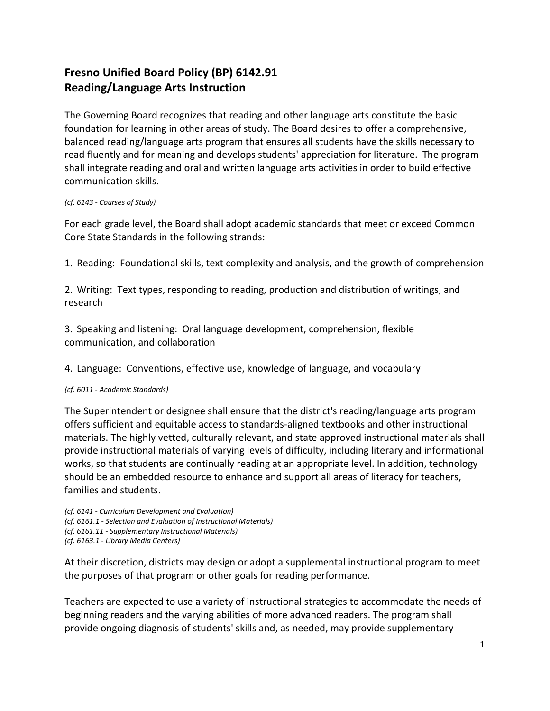## **Fresno Unified Board Policy (BP) 6142.91 Reading/Language Arts Instruction**

The Governing Board recognizes that reading and other language arts constitute the basic foundation for learning in other areas of study. The Board desires to offer a comprehensive, balanced reading/language arts program that ensures all students have the skills necessary to read fluently and for meaning and develops students' appreciation for literature. The program shall integrate reading and oral and written language arts activities in order to build effective communication skills.

## *(cf. 6143 - Courses of Study)*

For each grade level, the Board shall adopt academic standards that meet or exceed Common Core State Standards in the following strands:

1. Reading: Foundational skills, text complexity and analysis, and the growth of comprehension

2. Writing: Text types, responding to reading, production and distribution of writings, and research

3. Speaking and listening: Oral language development, comprehension, flexible communication, and collaboration

4. Language: Conventions, effective use, knowledge of language, and vocabulary

## *(cf. 6011 - Academic Standards)*

The Superintendent or designee shall ensure that the district's reading/language arts program offers sufficient and equitable access to standards-aligned textbooks and other instructional materials. The highly vetted, culturally relevant, and state approved instructional materials shall provide instructional materials of varying levels of difficulty, including literary and informational works, so that students are continually reading at an appropriate level. In addition, technology should be an embedded resource to enhance and support all areas of literacy for teachers, families and students.

*(cf. 6141 - Curriculum Development and Evaluation) (cf. 6161.1 - Selection and Evaluation of Instructional Materials) (cf. 6161.11 - Supplementary Instructional Materials) (cf. 6163.1 - Library Media Centers)*

At their discretion, districts may design or adopt a supplemental instructional program to meet the purposes of that program or other goals for reading performance.

Teachers are expected to use a variety of instructional strategies to accommodate the needs of beginning readers and the varying abilities of more advanced readers. The program shall provide ongoing diagnosis of students' skills and, as needed, may provide supplementary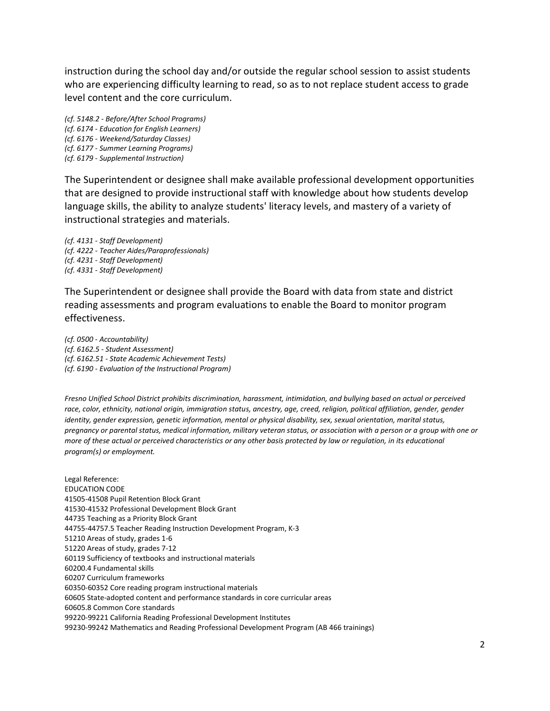instruction during the school day and/or outside the regular school session to assist students who are experiencing difficulty learning to read, so as to not replace student access to grade level content and the core curriculum.

*(cf. 5148.2 - Before/After School Programs) (cf. 6174 - Education for English Learners) (cf. 6176 - Weekend/Saturday Classes) (cf. 6177 - Summer Learning Programs) (cf. 6179 - Supplemental Instruction)*

The Superintendent or designee shall make available professional development opportunities that are designed to provide instructional staff with knowledge about how students develop language skills, the ability to analyze students' literacy levels, and mastery of a variety of instructional strategies and materials.

*(cf. 4131 - Staff Development) (cf. 4222 - Teacher Aides/Paraprofessionals) (cf. 4231 - Staff Development) (cf. 4331 - Staff Development)*

The Superintendent or designee shall provide the Board with data from state and district reading assessments and program evaluations to enable the Board to monitor program effectiveness.

*(cf. 0500 - Accountability) (cf. 6162.5 - Student Assessment) (cf. 6162.51 - State Academic Achievement Tests) (cf. 6190 - Evaluation of the Instructional Program)*

*Fresno Unified School District prohibits discrimination, harassment, intimidation, and bullying based on actual or perceived*  race, color, ethnicity, national origin, immigration status, ancestry, age, creed, religion, political affiliation, gender, gender *identity, gender expression, genetic information, mental or physical disability, sex, sexual orientation, marital status, pregnancy or parental status, medical information, military veteran status, or association with a person or a group with one or more of these actual or perceived characteristics or any other basis protected by law or regulation, in its educational program(s) or employment.*

Legal Reference: EDUCATION CODE 41505-41508 Pupil Retention Block Grant 41530-41532 Professional Development Block Grant 44735 Teaching as a Priority Block Grant 44755-44757.5 Teacher Reading Instruction Development Program, K-3 51210 Areas of study, grades 1-6 51220 Areas of study, grades 7-12 60119 Sufficiency of textbooks and instructional materials 60200.4 Fundamental skills 60207 Curriculum frameworks 60350-60352 Core reading program instructional materials 60605 State-adopted content and performance standards in core curricular areas 60605.8 Common Core standards 99220-99221 California Reading Professional Development Institutes 99230-99242 Mathematics and Reading Professional Development Program (AB 466 trainings)